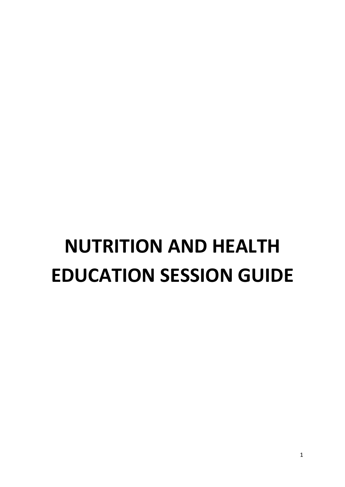# **NUTRITION AND HEALTH EDUCATION SESSION GUIDE**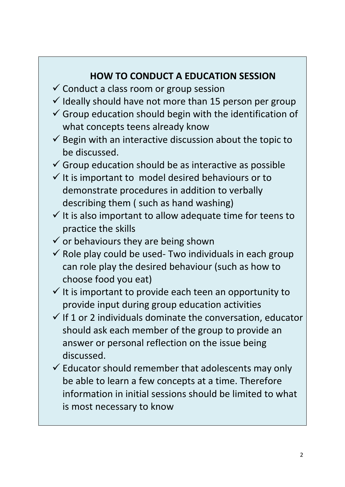#### **HOW TO CONDUCT A EDUCATION SESSION**

- $\checkmark$  Conduct a class room or group session
- $\checkmark$  Ideally should have not more than 15 person per group
- $\checkmark$  Group education should begin with the identification of what concepts teens already know
- $\checkmark$  Begin with an interactive discussion about the topic to be discussed.
- $\checkmark$  Group education should be as interactive as possible
- $\checkmark$  It is important to model desired behaviours or to demonstrate procedures in addition to verbally describing them ( such as hand washing)
- $\checkmark$  It is also important to allow adequate time for teens to practice the skills
- $\checkmark$  or behaviours they are being shown
- $\checkmark$  Role play could be used- Two individuals in each group can role play the desired behaviour (such as how to choose food you eat)
- $\checkmark$  It is important to provide each teen an opportunity to provide input during group education activities
- $\checkmark$  If 1 or 2 individuals dominate the conversation, educator should ask each member of the group to provide an answer or personal reflection on the issue being discussed.
- $\checkmark$  Educator should remember that adolescents may only be able to learn a few concepts at a time. Therefore information in initial sessions should be limited to what is most necessary to know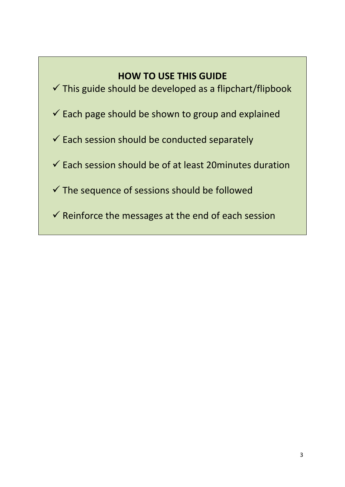#### **HOW TO USE THIS GUIDE**

- $\checkmark$  This guide should be developed as a flipchart/flipbook
- $\checkmark$  Each page should be shown to group and explained
- $\checkmark$  Each session should be conducted separately
- $\checkmark$  Each session should be of at least 20minutes duration
- $\checkmark$  The sequence of sessions should be followed
- $\checkmark$  Reinforce the messages at the end of each session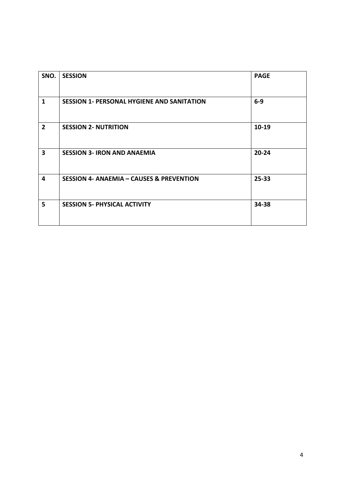| SNO.           | <b>SESSION</b>                                      | <b>PAGE</b> |
|----------------|-----------------------------------------------------|-------------|
| $\mathbf{1}$   | <b>SESSION 1- PERSONAL HYGIENE AND SANITATION</b>   | $6-9$       |
| $\overline{2}$ | <b>SESSION 2- NUTRITION</b>                         | $10-19$     |
| 3              | <b>SESSION 3- IRON AND ANAEMIA</b>                  | $20 - 24$   |
| 4              | <b>SESSION 4- ANAEMIA - CAUSES &amp; PREVENTION</b> | $25 - 33$   |
| 5              | <b>SESSION 5- PHYSICAL ACTIVITY</b>                 | 34-38       |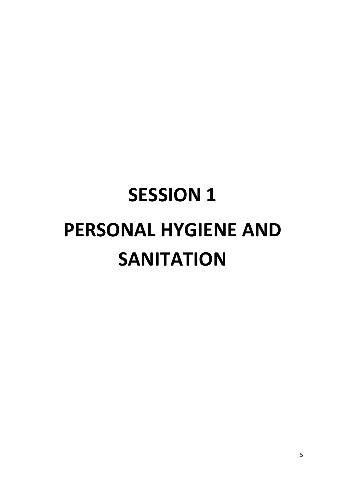# **SESSION 1 PERSONAL HYGIENE AND SANITATION**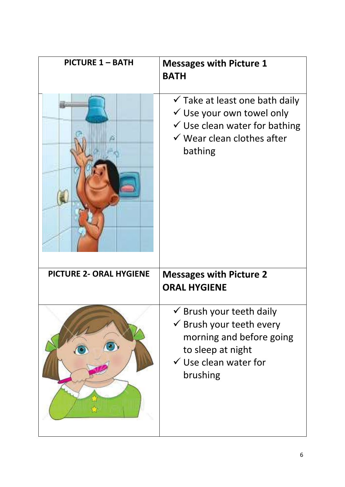| <b>PICTURE 1 - BATH</b>        | <b>Messages with Picture 1</b><br><b>BATH</b>                                                                                                                                     |
|--------------------------------|-----------------------------------------------------------------------------------------------------------------------------------------------------------------------------------|
|                                | $\checkmark$ Take at least one bath daily<br>$\checkmark$ Use your own towel only<br>$\checkmark$ Use clean water for bathing<br>$\checkmark$ Wear clean clothes after<br>bathing |
| <b>PICTURE 2- ORAL HYGIENE</b> | <b>Messages with Picture 2</b><br><b>ORAL HYGIENE</b>                                                                                                                             |
|                                | Brush your teeth daily<br>$\checkmark$ Brush your teeth every<br>morning and before going<br>to sleep at night<br>$\checkmark$ Use clean water for<br>brushing                    |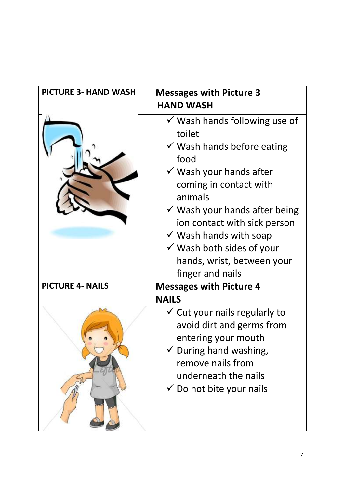| <b>PICTURE 3- HAND WASH</b> | <b>Messages with Picture 3</b><br><b>HAND WASH</b>                                                                                                                                                                                                                                                                                                                                        |
|-----------------------------|-------------------------------------------------------------------------------------------------------------------------------------------------------------------------------------------------------------------------------------------------------------------------------------------------------------------------------------------------------------------------------------------|
|                             | $\checkmark$ Wash hands following use of<br>toilet<br>$\checkmark$ Wash hands before eating<br>food<br>$\checkmark$ Wash your hands after<br>coming in contact with<br>animals<br>$\checkmark$ Wash your hands after being<br>ion contact with sick person<br>$\checkmark$ Wash hands with soap<br>$\checkmark$ Wash both sides of your<br>hands, wrist, between your<br>finger and nails |
| <b>PICTURE 4- NAILS</b>     | <b>Messages with Picture 4</b>                                                                                                                                                                                                                                                                                                                                                            |
|                             | <b>NAILS</b>                                                                                                                                                                                                                                                                                                                                                                              |
|                             | $\checkmark$ Cut your nails regularly to<br>avoid dirt and germs from<br>entering your mouth<br>$\checkmark$ During hand washing,<br>remove nails from<br>underneath the nails<br>$\checkmark$ Do not bite your nails                                                                                                                                                                     |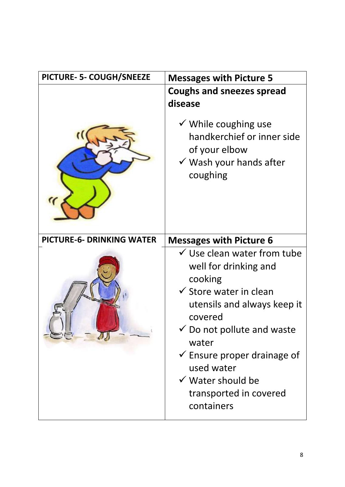| PICTURE- 5- COUGH/SNEEZE         | <b>Messages with Picture 5</b>                                                                                                                                                                                                                                                                                                              |  |
|----------------------------------|---------------------------------------------------------------------------------------------------------------------------------------------------------------------------------------------------------------------------------------------------------------------------------------------------------------------------------------------|--|
|                                  | <b>Coughs and sneezes spread</b><br>disease<br>$\checkmark$ While coughing use<br>handkerchief or inner side<br>of your elbow<br>$\checkmark$ Wash your hands after<br>coughing                                                                                                                                                             |  |
| <b>PICTURE-6- DRINKING WATER</b> | <b>Messages with Picture 6</b>                                                                                                                                                                                                                                                                                                              |  |
|                                  | $\checkmark$ Use clean water from tube<br>well for drinking and<br>cooking<br>$\checkmark$ Store water in clean<br>utensils and always keep it<br>covered<br>$\checkmark$ Do not pollute and waste<br>water<br>$\checkmark$ Ensure proper drainage of<br>used water<br>$\checkmark$ Water should be<br>transported in covered<br>containers |  |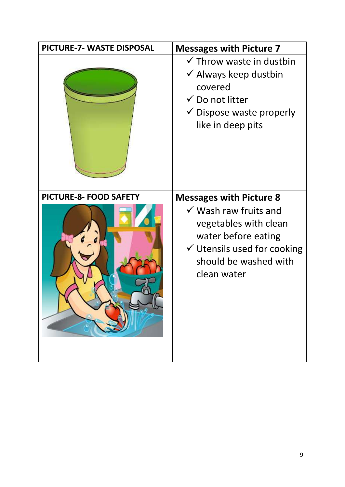| PICTURE-7- WASTE DISPOSAL | <b>Messages with Picture 7</b>                                                                                                                                               |
|---------------------------|------------------------------------------------------------------------------------------------------------------------------------------------------------------------------|
|                           | $\checkmark$ Throw waste in dustbin<br>$\checkmark$ Always keep dustbin<br>covered<br>$\checkmark$ Do not litter<br>$\checkmark$ Dispose waste properly<br>like in deep pits |
| PICTURE-8- FOOD SAFETY    | <b>Messages with Picture 8</b>                                                                                                                                               |
|                           | $\checkmark$ Wash raw fruits and<br>vegetables with clean<br>water before eating<br>$\checkmark$ Utensils used for cooking<br>should be washed with<br>clean water           |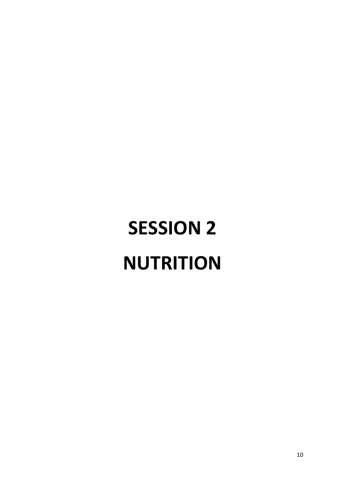# **SESSION 2 NUTRITION**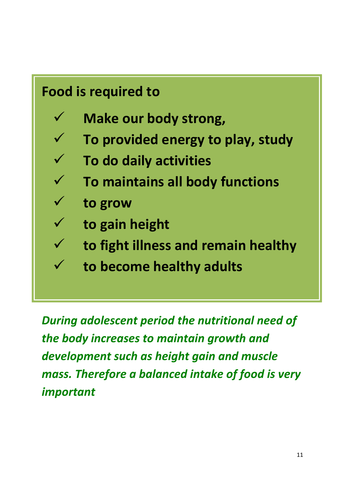# **Food is required to**

- **Make our body strong,**
- **To provided energy to play, study**
- **To do daily activities**
	- **To maintains all body functions**
- **to grow**
- **to gain height**
- **to fight illness and remain healthy**
	- **to become healthy adults**

*During adolescent period the nutritional need of the body increases to maintain growth and development such as height gain and muscle mass. Therefore a balanced intake of food is very important*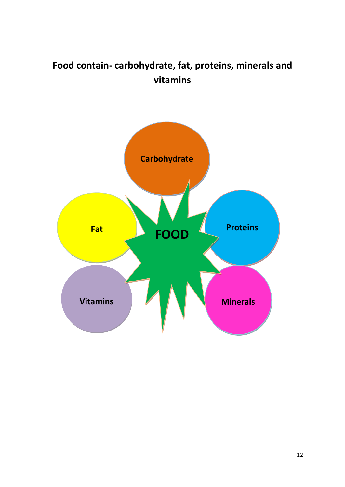#### **Food contain- carbohydrate, fat, proteins, minerals and vitamins**

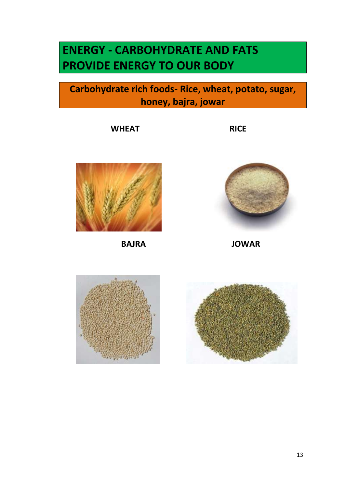### **ENERGY - CARBOHYDRATE AND FATS PROVIDE ENERGY TO OUR BODY**

#### **Carbohydrate rich foods- Rice, wheat, potato, sugar, honey, bajra, jowar**

**WHEAT** RICE





 **BAJRA JOWAR** 



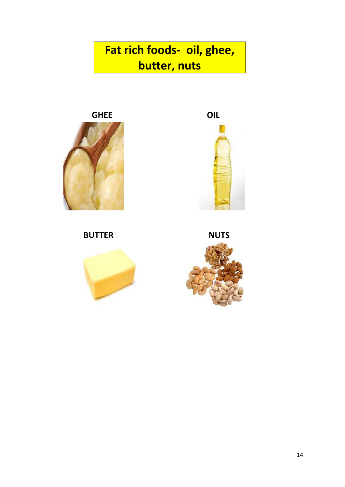**Fat rich foods- oil, ghee, butter, nuts**





**BUTTER** NUTS



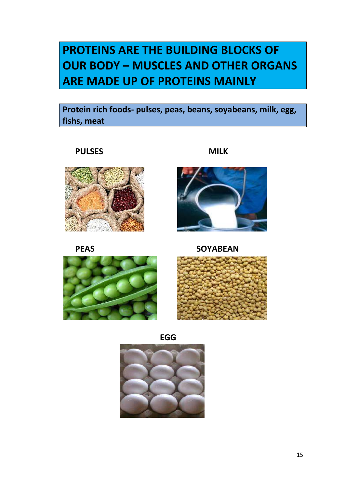### **PROTEINS ARE THE BUILDING BLOCKS OF OUR BODY – MUSCLES AND OTHER ORGANS ARE MADE UP OF PROTEINS MAINLY**

**Protein rich foods- pulses, peas, beans, soyabeans, milk, egg, fishs, meat** 









**EGG**



**PULSES MILK**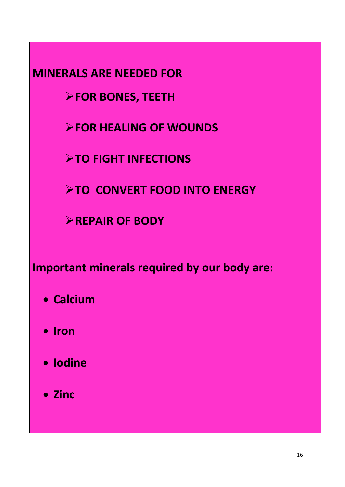**MINERALS ARE NEEDED FOR**

**FOR BONES, TEETH**

**FOR HEALING OF WOUNDS**

**TO FIGHT INFECTIONS** 

**TO CONVERT FOOD INTO ENERGY** 

**REPAIR OF BODY** 

**Important minerals required by our body are:**

- **Calcium**
- $\bullet$  Iron
- **Iodine**
- **Zinc**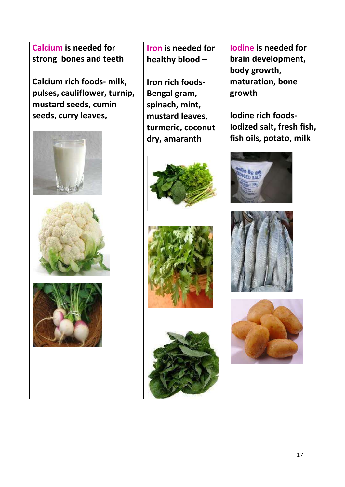**Calcium is needed for strong bones and teeth** 

**Calcium rich foods- milk, pulses, cauliflower, turnip, mustard seeds, cumin seeds, curry leaves,** 







 **Iron is needed for healthy blood –**

**Iron rich foods-Bengal gram, spinach, mint, mustard leaves, turmeric, coconut dry, amaranth**







**Iodine is needed for brain development, body growth, maturation, bone growth** 

**Iodine rich foods-Iodized salt, fresh fish, fish oils, potato, milk** 





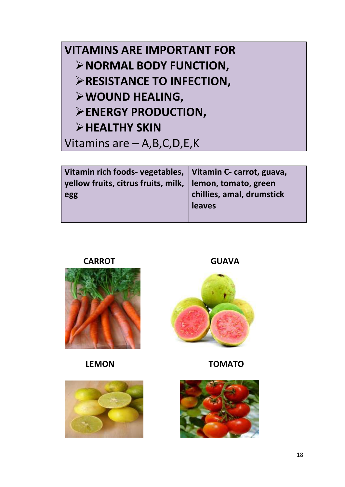## **VITAMINS ARE IMPORTANT FOR NORMAL BODY FUNCTION, EXECUTANCE TO INFECTION, WOUND HEALING, ENERGY PRODUCTION, EXALTHY SKIN** Vitamins are – A,B,C,D,E,K

| Vitamin rich foods- vegetables,   Vitamin C- carrot, guava, |                           |
|-------------------------------------------------------------|---------------------------|
| yellow fruits, citrus fruits, milk,   lemon, tomato, green  |                           |
| egg                                                         | chillies, amal, drumstick |
|                                                             | leaves                    |
|                                                             |                           |



**CARROT GUAVA**



 **LEMON TOMATO**



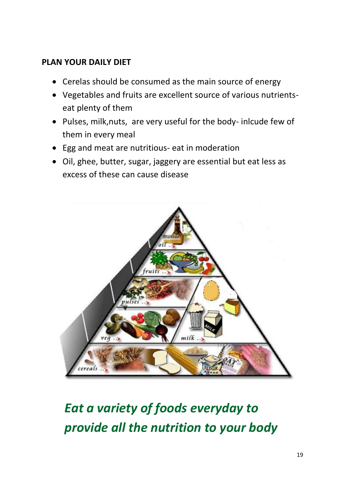#### **PLAN YOUR DAILY DIET**

- Cerelas should be consumed as the main source of energy
- Vegetables and fruits are excellent source of various nutrientseat plenty of them
- Pulses, milk,nuts, are very useful for the body- inlcude few of them in every meal
- Egg and meat are nutritious- eat in moderation
- Oil, ghee, butter, sugar, jaggery are essential but eat less as excess of these can cause disease



# *Eat a variety of foods everyday to provide all the nutrition to your body*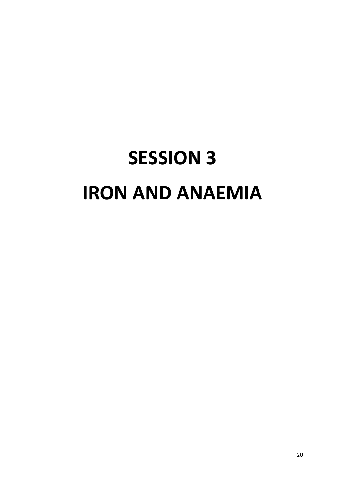# **SESSION 3 IRON AND ANAEMIA**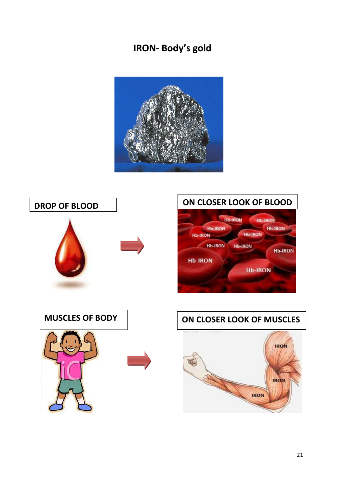#### **IRON- Body's gold**



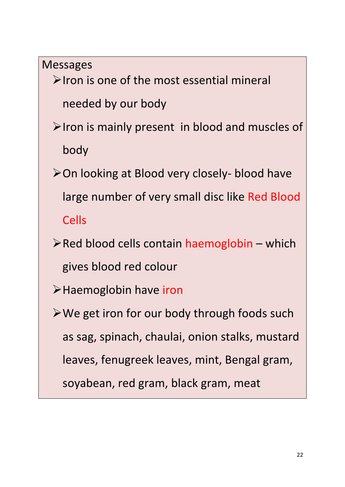Messages

 $\triangleright$  Iron is one of the most essential mineral needed by our body

- $\triangleright$  Iron is mainly present in blood and muscles of body
- **≻On looking at Blood very closely- blood have** large number of very small disc like Red Blood Cells
- $\triangleright$  Red blood cells contain haemoglobin which gives blood red colour
- Haemoglobin have iron
- We get iron for our body through foods such as sag, spinach, chaulai, onion stalks, mustard leaves, fenugreek leaves, mint, Bengal gram, soyabean, red gram, black gram, meat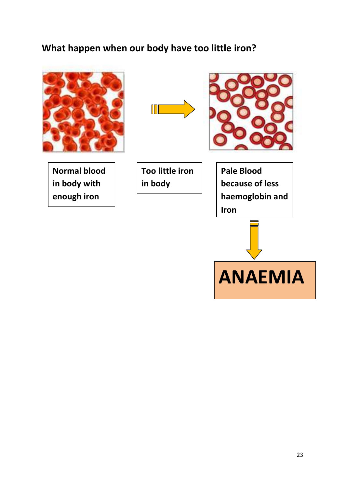#### **What happen when our body have too little iron?**



**Normal blood in body with enough iron**





**Too little iron in body** 

**Pale Blood because of less haemoglobin and Iron** 

**ANAEMIA**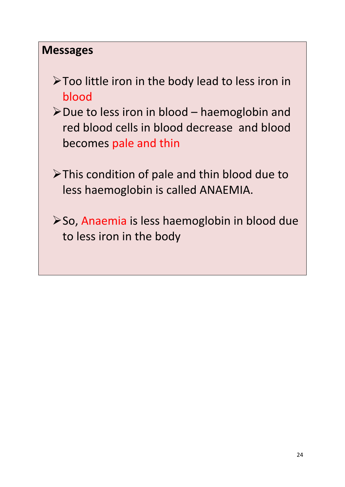#### **Messages**

- Too little iron in the body lead to less iron in blood
- $\triangleright$  Due to less iron in blood haemoglobin and red blood cells in blood decrease and blood becomes pale and thin
- >This condition of pale and thin blood due to less haemoglobin is called ANAEMIA.
- ≻So, Anaemia is less haemoglobin in blood due to less iron in the body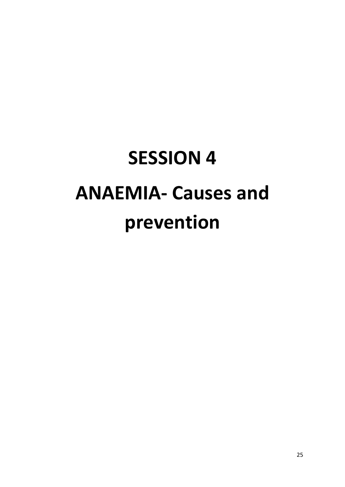# **SESSION 4 ANAEMIA- Causes and prevention**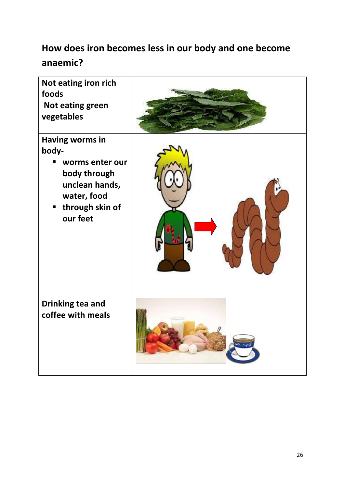#### **How does iron becomes less in our body and one become anaemic?**

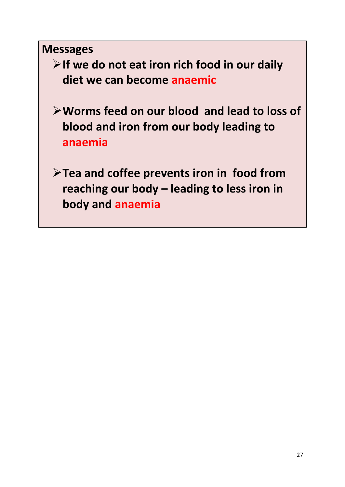**Messages**

- **If we do not eat iron rich food in our daily diet we can become anaemic**
- **Worms feed on our blood and lead to loss of blood and iron from our body leading to anaemia**
- **Tea and coffee prevents iron in food from reaching our body – leading to less iron in body and anaemia**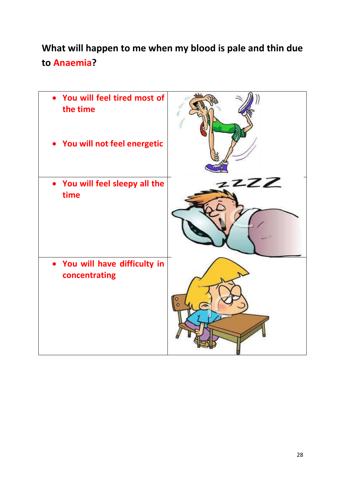### **What will happen to me when my blood is pale and thin due to Anaemia?**

| You will feel tired most of<br>the time<br>• You will not feel energetic |     |
|--------------------------------------------------------------------------|-----|
| • You will feel sleepy all the<br>time                                   | 22Z |
| You will have difficulty in<br>concentrating                             |     |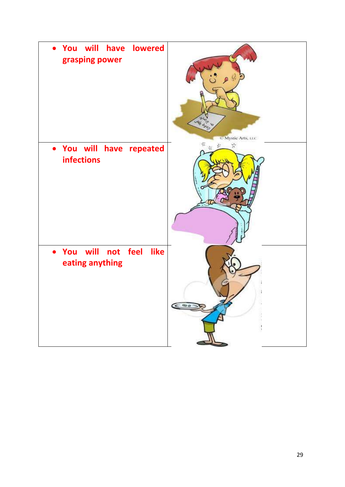| will have lowered<br>You<br>grasping power               | <b>Lake day</b><br>C Mystie Arts, LEC |
|----------------------------------------------------------|---------------------------------------|
| You will have repeated<br>$\bullet$<br><b>infections</b> | $\frac{1}{2}$<br>お 米                  |
| will not feel<br>like<br>• You<br>eating anything        | $\epsilon$ as                         |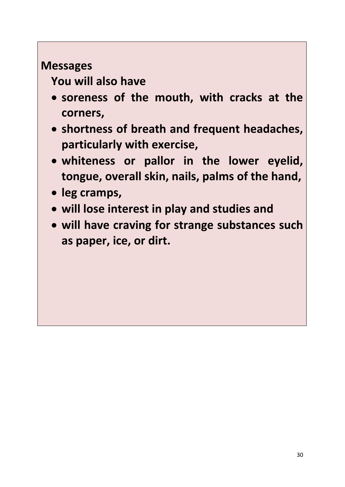### **Messages**

**You will also have** 

- **soreness of the mouth, with cracks at the corners,**
- **shortness of breath and frequent headaches, particularly with exercise,**
- **whiteness or pallor in the lower eyelid, tongue, overall skin, nails, palms of the hand,**
- **leg cramps,**
- **will lose interest in play and studies and**
- **will have craving for strange substances such as paper, ice, or dirt.**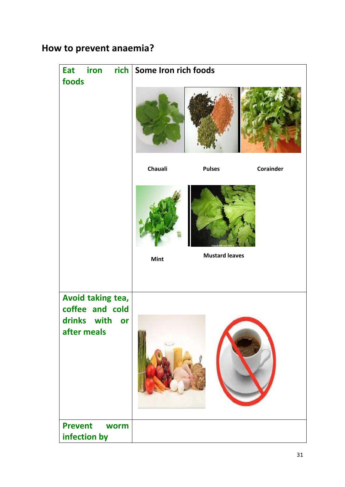#### **How to prevent anaemia?**

| Eat<br>iron<br>foods                                                     | rich   Some Iron rich foods |                       |
|--------------------------------------------------------------------------|-----------------------------|-----------------------|
|                                                                          |                             |                       |
|                                                                          | Chauali<br><b>Pulses</b>    | Corainder             |
|                                                                          | Mint                        | <b>Mustard leaves</b> |
| Avoid taking tea,<br>coffee and cold<br>drinks with<br>or<br>after meals |                             |                       |
| <b>Prevent</b><br>worm<br>infection by                                   |                             |                       |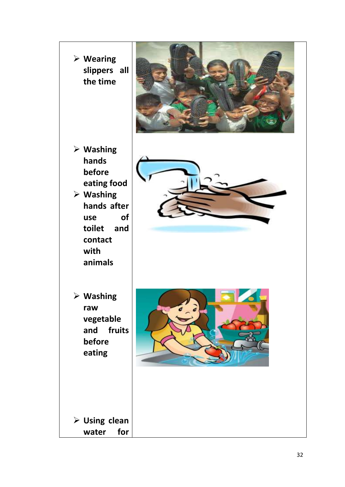**Wearing slippers all the time Washing hands before eating food Washing hands after use of toilet and contact with animals Washing raw vegetable and fruits before eating Using clean water for**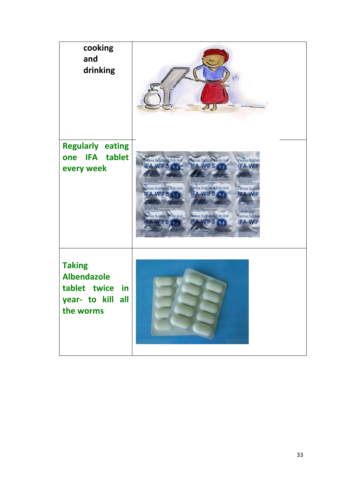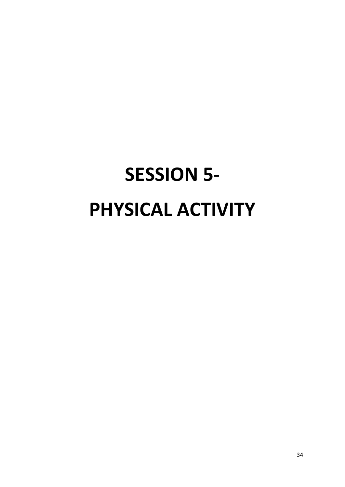# **SESSION 5- PHYSICAL ACTIVITY**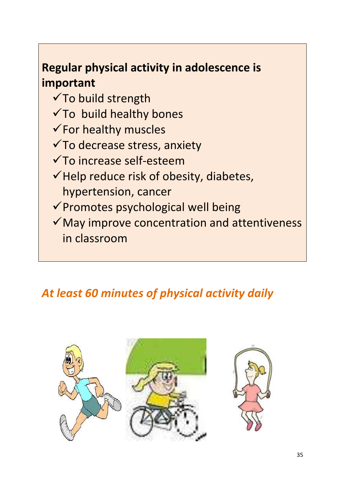### **Regular physical activity in adolescence is important**

- $\checkmark$  To build strength
- $\checkmark$  To build healthy bones
- $\checkmark$  For healthy muscles
- To decrease stress, anxiety
- To increase self-esteem
- $\checkmark$  Help reduce risk of obesity, diabetes, hypertension, cancer
- $\checkmark$  Promotes psychological well being
- $\checkmark$  May improve concentration and attentiveness in classroom

### *At least 60 minutes of physical activity daily*

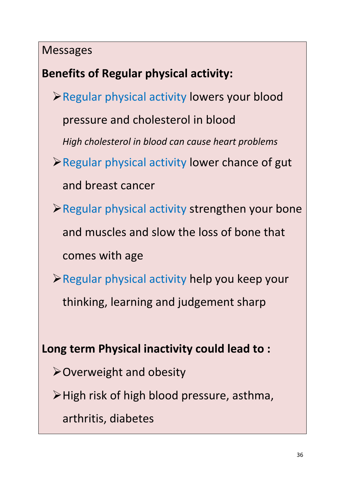#### Messages

### **Benefits of Regular physical activity:**

Regular physical activity lowers your blood

pressure and cholesterol in blood

*High cholesterol in blood can cause heart problems* 

- $\triangleright$  Regular physical activity lower chance of gut and breast cancer
- $\triangleright$  Regular physical activity strengthen your bone and muscles and slow the loss of bone that comes with age
- $\triangleright$  Regular physical activity help you keep your thinking, learning and judgement sharp

#### **Long term Physical inactivity could lead to :**

- Overweight and obesity
- High risk of high blood pressure, asthma,
	- arthritis, diabetes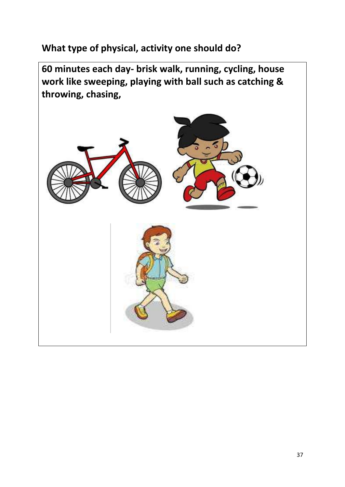**What type of physical, activity one should do?**